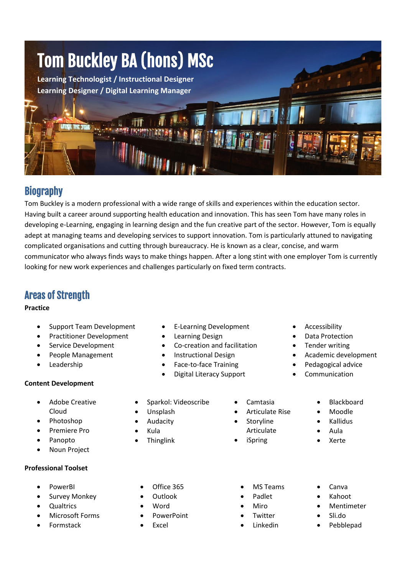

## **Biography**

Tom Buckley is a modern professional with a wide range of skills and experiences within the education sector. Having built a career around supporting health education and innovation. This has seen Tom have many roles in developing e-Learning, engaging in learning design and the fun creative part of the sector. However, Tom is equally adept at managing teams and developing services to support innovation. Tom is particularly attuned to navigating complicated organisations and cutting through bureaucracy. He is known as a clear, concise, and warm communicator who always finds ways to make things happen. After a long stint with one employer Tom is currently looking for new work experiences and challenges particularly on fixed term contracts.

## Areas of Strength

#### **Practice**

- Support Team Development
- Practitioner Development
- Service Development
- People Management
- Leadership

### **Content Development**

- Adobe Creative Cloud
- Photoshop
- Premiere Pro
- Panopto
- Noun Project

### **Professional Toolset**

- PowerBI
- Survey Monkey
- **Qualtrics**
- Microsoft Forms
- Formstack
- E-Learning Development
- Learning Design
- Co-creation and facilitation
- Instructional Design
- Face-to-face Training
- Digital Literacy Support
- Sparkol: Videoscribe
- Unsplash
- **Audacity**
- Kula
- **Thinglink**
- Camtasia
- Articulate Rise
- **Storyline** 
	- - - Kahoot
			- **Mentimeter**

• Canva

- Sli.do
	- Pebblepad
- 
- 
- 
- 
- -

• MS Teams • Padlet • Miro **Twitter** • Linkedin

- 
- 
- Articulate
- 

• Academic development • Pedagogical advice

**Accessibility** Data Protection Tender writing

- Blackboard
	- Moodle
- Kallidus
- Aula
- Xerte

- 
- Office 365
- Outlook
- Word
- PowerPoint
	- **Excel**
- -
	-
- -
	- - iSpring
- **Communication**
- -
	-

- 
- 
-